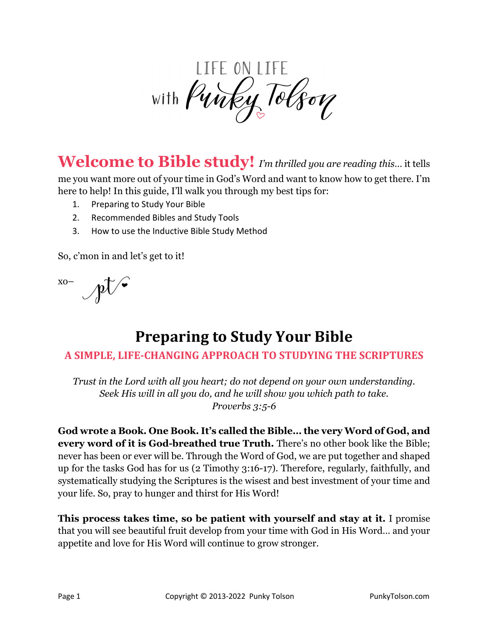

**Welcome to Bible study!** *I'm thrilled you are reading this*… it tells

me you want more out of your time in God's Word and want to know how to get there. I'm here to help! In this guide, I'll walk you through my best tips for:

- 1. Preparing to Study Your Bible
- 2. Recommended Bibles and Study Tools
- 3. How to use the Inductive Bible Study Method

So, c'mon in and let's get to it!

 $\mathbb{R}^{\infty}$ 

# **Preparing to Study Your Bible**

## A SIMPLE, LIFE-CHANGING APPROACH TO STUDYING THE SCRIPTURES

*Trust in the Lord with all you heart; do not depend on your own understanding. Seek His will in all you do, and he will show you which path to take. Proverbs 3:5-6*

**God wrote a Book. One Book. It's called the Bible… the very Word of God, and every word of it is God-breathed true Truth.** There's no other book like the Bible; never has been or ever will be. Through the Word of God, we are put together and shaped up for the tasks God has for us (2 Timothy 3:16-17). Therefore, regularly, faithfully, and systematically studying the Scriptures is the wisest and best investment of your time and your life. So, pray to hunger and thirst for His Word!

**This process takes time, so be patient with yourself and stay at it.** I promise that you will see beautiful fruit develop from your time with God in His Word… and your appetite and love for His Word will continue to grow stronger.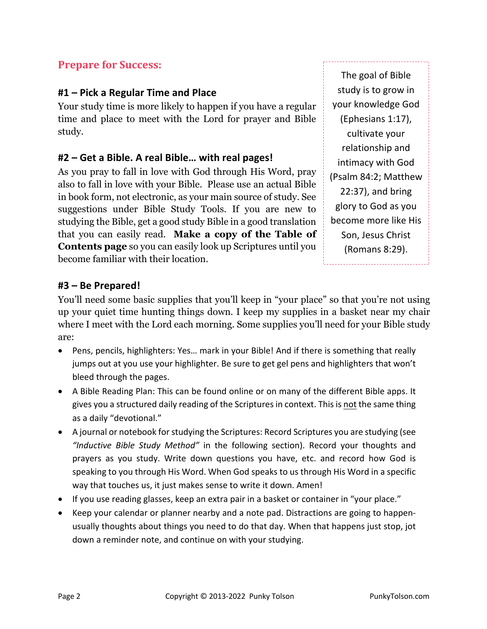## **Prepare for Success:**

#### **#1 – Pick a Regular Time and Place**

Your study time is more likely to happen if you have a regular time and place to meet with the Lord for prayer and Bible study.

#### **#2 – Get a Bible. A real Bible… with real pages!**

As you pray to fall in love with God through His Word, pray also to fall in love with your Bible. Please use an actual Bible in book form, not electronic, as your main source of study. See suggestions under Bible Study Tools. If you are new to studying the Bible, get a good study Bible in a good translation that you can easily read. **Make a copy of the Table of Contents page** so you can easily look up Scriptures until you become familiar with their location.

The goal of Bible study is to grow in your knowledge God (Ephesians 1:17), cultivate your relationship and intimacy with God (Psalm 84:2; Matthew 22:37), and bring glory to God as you become more like His Son, Jesus Christ (Romans 8:29).

#### **#3 – Be Prepared!**

You'll need some basic supplies that you'll keep in "your place" so that you're not using up your quiet time hunting things down. I keep my supplies in a basket near my chair where I meet with the Lord each morning. Some supplies you'll need for your Bible study are:

- Pens, pencils, highlighters: Yes… mark in your Bible! And if there is something that really jumps out at you use your highlighter. Be sure to get gel pens and highlighters that won't bleed through the pages.
- A Bible Reading Plan: This can be found online or on many of the different Bible apps. It gives you a structured daily reading of the Scriptures in context. This is not the same thing as a daily "devotional."
- A journal or notebook for studying the Scriptures: Record Scriptures you are studying (see *"Inductive Bible Study Method"* in the following section). Record your thoughts and prayers as you study. Write down questions you have, etc. and record how God is speaking to you through His Word. When God speaks to us through His Word in a specific way that touches us, it just makes sense to write it down. Amen!
- If you use reading glasses, keep an extra pair in a basket or container in "your place."
- Keep your calendar or planner nearby and a note pad. Distractions are going to happenusually thoughts about things you need to do that day. When that happens just stop, jot down a reminder note, and continue on with your studying.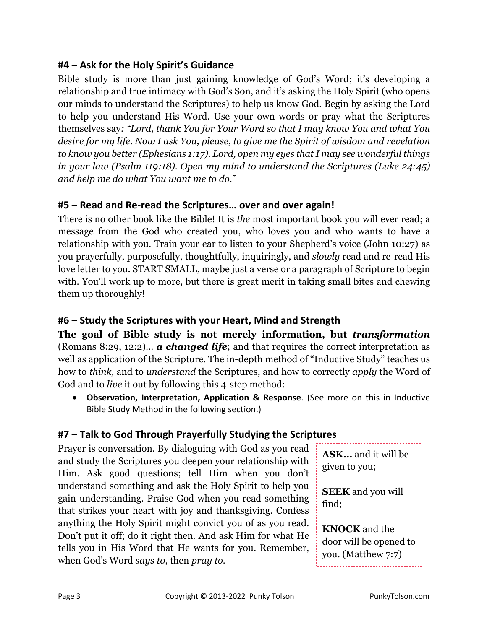### **#4 – Ask for the Holy Spirit's Guidance**

Bible study is more than just gaining knowledge of God's Word; it's developing a relationship and true intimacy with God's Son, and it's asking the Holy Spirit (who opens our minds to understand the Scriptures) to help us know God. Begin by asking the Lord to help you understand His Word. Use your own words or pray what the Scriptures themselves say*: "Lord, thank You for Your Word so that I may know You and what You desire for my life. Now I ask You, please, to give me the Spirit of wisdom and revelation to know you better (Ephesians 1:17). Lord, open my eyes that I may see wonderful things in your law (Psalm 119:18). Open my mind to understand the Scriptures (Luke 24:45) and help me do what You want me to do."*

#### **#5 – Read and Re-read the Scriptures… over and over again!**

There is no other book like the Bible! It is *the* most important book you will ever read; a message from the God who created you, who loves you and who wants to have a relationship with you. Train your ear to listen to your Shepherd's voice (John 10:27) as you prayerfully, purposefully, thoughtfully, inquiringly, and *slowly* read and re-read His love letter to you. START SMALL, maybe just a verse or a paragraph of Scripture to begin with. You'll work up to more, but there is great merit in taking small bites and chewing them up thoroughly!

#### **#6 – Study the Scriptures with your Heart, Mind and Strength**

**The goal of Bible study is not merely information, but** *transformation* (Romans 8:29, 12:2)… *a changed life*; and that requires the correct interpretation as well as application of the Scripture. The in-depth method of "Inductive Study" teaches us how to *think,* and to *understand* the Scriptures, and how to correctly *apply* the Word of God and to *live* it out by following this 4-step method:

• **Observation, Interpretation, Application & Response**. (See more on this in Inductive Bible Study Method in the following section.)

#### **#7 – Talk to God Through Prayerfully Studying the Scriptures**

Prayer is conversation. By dialoguing with God as you read and study the Scriptures you deepen your relationship with Him. Ask good questions; tell Him when you don't understand something and ask the Holy Spirit to help you gain understanding. Praise God when you read something that strikes your heart with joy and thanksgiving. Confess anything the Holy Spirit might convict you of as you read. Don't put it off; do it right then. And ask Him for what He tells you in His Word that He wants for you. Remember, when God's Word *says to*, then *pray to.*

**ASK…** and it will be given to you;

**SEEK** and you will find;

**KNOCK** and the door will be opened to you. (Matthew 7:7)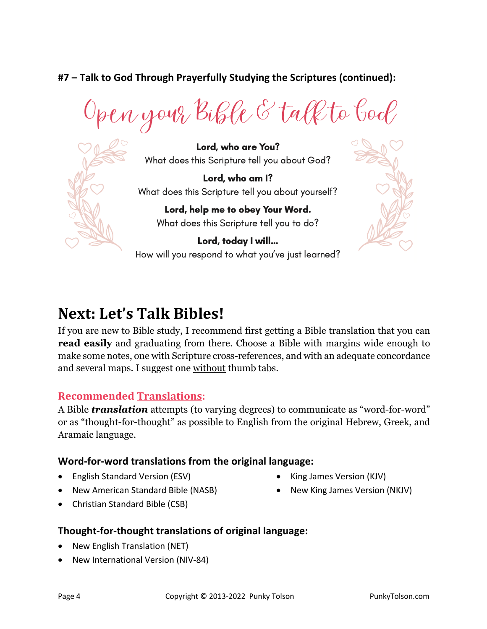## **#7 – Talk to God Through Prayerfully Studying the Scriptures (continued):**

Open your Bible & talk to bool



Lord, who are You? What does this Scripture tell you about God?

Lord, who am I? What does this Scripture tell you about yourself?

> Lord, help me to obey Your Word. What does this Scripture tell you to do?

Lord, today I will... How will you respond to what you've just learned?



# Next: Let's Talk Bibles!

If you are new to Bible study, I recommend first getting a Bible translation that you can **read easily** and graduating from there. Choose a Bible with margins wide enough to make some notes, one with Scripture cross-references, and with an adequate concordance and several maps. I suggest one without thumb tabs.

#### **Recommended Translations:**

A Bible *translation* attempts (to varying degrees) to communicate as "word-for-word" or as "thought-for-thought" as possible to English from the original Hebrew, Greek, and Aramaic language.

#### **Word-for-word translations from the original language:**

- English Standard Version (ESV)
- New American Standard Bible (NASB)
- Christian Standard Bible (CSB)

#### **Thought-for-thought translations of original language:**

- New English Translation (NET)
- New International Version (NIV-84)
- King James Version (KJV)
- New King James Version (NKJV)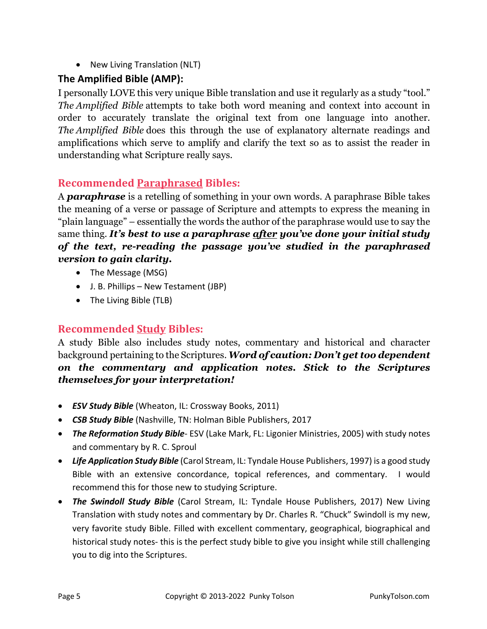• New Living Translation (NLT)

### **The Amplified Bible (AMP):**

I personally LOVE this very unique Bible translation and use it regularly as a study "tool." *The Amplified Bible* attempts to take both word meaning and context into account in order to accurately translate the original text from one language into another. *The Amplified Bible* does this through the use of explanatory alternate readings and amplifications which serve to amplify and clarify the text so as to assist the reader in understanding what Scripture really says.

## **Recommended Paraphrased Bibles:**

A *paraphrase* is a retelling of something in your own words. A paraphrase Bible takes the meaning of a verse or passage of Scripture and attempts to express the meaning in "plain language" – essentially the words the author of the paraphrase would use to say the same thing. *It's best to use a paraphrase after you've done your initial study of the text, re-reading the passage you've studied in the paraphrased version to gain clarity.*

- The Message (MSG)
- J. B. Phillips New Testament (JBP)
- The Living Bible (TLB)

#### **Recommended Study Bibles:**

A study Bible also includes study notes, commentary and historical and character background pertaining to the Scriptures. *Word of caution: Don't get too dependent on the commentary and application notes. Stick to the Scriptures themselves for your interpretation!*

- *ESV Study Bible* (Wheaton, IL: Crossway Books, 2011)
- *CSB Study Bible* (Nashville, TN: Holman Bible Publishers, 2017
- *The Reformation Study Bible* ESV (Lake Mark, FL: Ligonier Ministries, 2005) with study notes and commentary by R. C. Sproul
- *Life Application Study Bible* (Carol Stream, IL: Tyndale House Publishers, 1997) is a good study Bible with an extensive concordance, topical references, and commentary. I would recommend this for those new to studying Scripture.
- *The Swindoll Study Bible* (Carol Stream, IL: Tyndale House Publishers, 2017) New Living Translation with study notes and commentary by Dr. Charles R. "Chuck" Swindoll is my new, very favorite study Bible. Filled with excellent commentary, geographical, biographical and historical study notes- this is the perfect study bible to give you insight while still challenging you to dig into the Scriptures.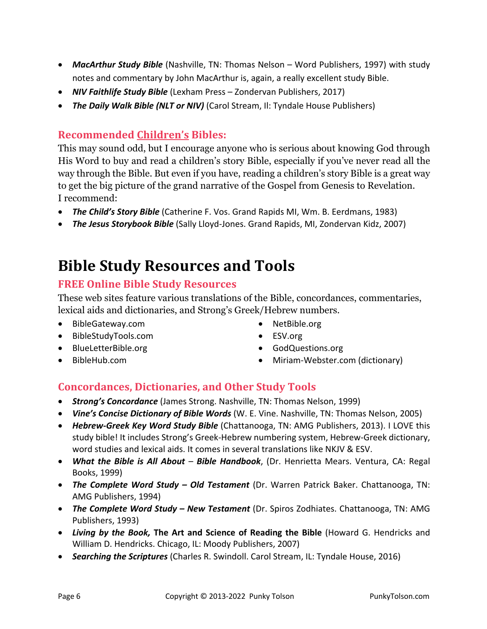- *MacArthur Study Bible* (Nashville, TN: Thomas Nelson Word Publishers, 1997) with study notes and commentary by John MacArthur is, again, a really excellent study Bible.
- *NIV Faithlife Study Bible* (Lexham Press Zondervan Publishers, 2017)
- *The Daily Walk Bible (NLT or NIV)* (Carol Stream, Il: Tyndale House Publishers)

#### **Recommended Children's Bibles:**

This may sound odd, but I encourage anyone who is serious about knowing God through His Word to buy and read a children's story Bible, especially if you've never read all the way through the Bible. But even if you have, reading a children's story Bible is a great way to get the big picture of the grand narrative of the Gospel from Genesis to Revelation. I recommend:

- *The Child's Story Bible* (Catherine F. Vos. Grand Rapids MI, Wm. B. Eerdmans, 1983)
- *The Jesus Storybook Bible* (Sally Lloyd-Jones. Grand Rapids, MI, Zondervan Kidz, 2007)

## **Bible Study Resources and Tools**

#### **FREE Online Bible Study Resources**

These web sites feature various translations of the Bible, concordances, commentaries, lexical aids and dictionaries, and Strong's Greek/Hebrew numbers.

- BibleGateway.com
- BibleStudyTools.com
- BlueLetterBible.org
- BibleHub.com
- NetBible.org
- ESV.org
- GodQuestions.org
- Miriam-Webster.com (dictionary)

#### **Concordances, Dictionaries, and Other Study Tools**

- *Strong's Concordance* (James Strong. Nashville, TN: Thomas Nelson, 1999)
- *Vine's Concise Dictionary of Bible Words* (W. E. Vine. Nashville, TN: Thomas Nelson, 2005)
- *Hebrew-Greek Key Word Study Bible* (Chattanooga, TN: AMG Publishers, 2013). I LOVE this study bible! It includes Strong's Greek-Hebrew numbering system, Hebrew-Greek dictionary, word studies and lexical aids. It comes in several translations like NKJV & ESV.
- *What the Bible is All About Bible Handbook*, (Dr. Henrietta Mears. Ventura, CA: Regal Books, 1999)
- *The Complete Word Study – Old Testament* (Dr. Warren Patrick Baker. Chattanooga, TN: AMG Publishers, 1994)
- *The Complete Word Study – New Testament* (Dr. Spiros Zodhiates. Chattanooga, TN: AMG Publishers, 1993)
- *Living by the Book,* **The Art and Science of Reading the Bible** (Howard G. Hendricks and William D. Hendricks. Chicago, IL: Moody Publishers, 2007)
- *Searching the Scriptures* (Charles R. Swindoll. Carol Stream, IL: Tyndale House, 2016)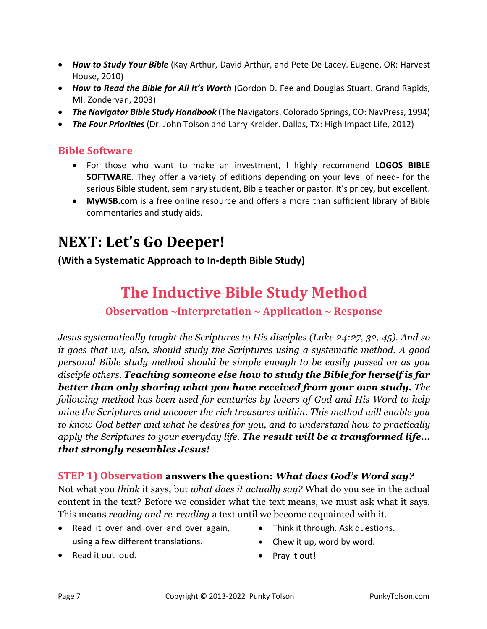- *How to Study Your Bible* (Kay Arthur, David Arthur, and Pete De Lacey. Eugene, OR: Harvest House, 2010)
- *How to Read the Bible for All It's Worth* (Gordon D. Fee and Douglas Stuart. Grand Rapids, MI: Zondervan, 2003)
- *The Navigator Bible Study Handbook* (The Navigators. Colorado Springs, CO: NavPress, 1994)
- *The Four Priorities* (Dr. John Tolson and Larry Kreider. Dallas, TX: High Impact Life, 2012)

#### **Bible Software**

- For those who want to make an investment, I highly recommend **LOGOS BIBLE SOFTWARE**. They offer a variety of editions depending on your level of need- for the serious Bible student, seminary student, Bible teacher or pastor. It's pricey, but excellent.
- **MyWSB.com** is a free online resource and offers a more than sufficient library of Bible commentaries and study aids.

## **NEXT: Let's Go Deeper!**

#### **(With a Systematic Approach to In-depth Bible Study)**

## **The Inductive Bible Study Method**

#### **Observation ~Interpretation ~ Application ~ Response**

*Jesus systematically taught the Scriptures to His disciples (Luke 24:27, 32, 45). And so it goes that we, also, should study the Scriptures using a systematic method. A good personal Bible study method should be simple enough to be easily passed on as you disciple others. Teaching someone else how to study the Bible for herself is far better than only sharing what you have received from your own study. The following method has been used for centuries by lovers of God and His Word to help mine the Scriptures and uncover the rich treasures within. This method will enable you to know God better and what he desires for you, and to understand how to practically apply the Scriptures to your everyday life. The result will be a transformed life… that strongly resembles Jesus!* 

#### **STEP 1) Observation answers the question:** *What does God's Word say?*

Not what you *think* it says, but *what does it actually say?* What do you see in the actual content in the text? Before we consider what the text means, we must ask what it says. This means *reading and re-reading* a text until we become acquainted with it.

- Read it over and over and over again, using a few different translations.
- Read it out loud.
- Think it through. Ask questions.
	- Chew it up, word by word.
	- Pray it out!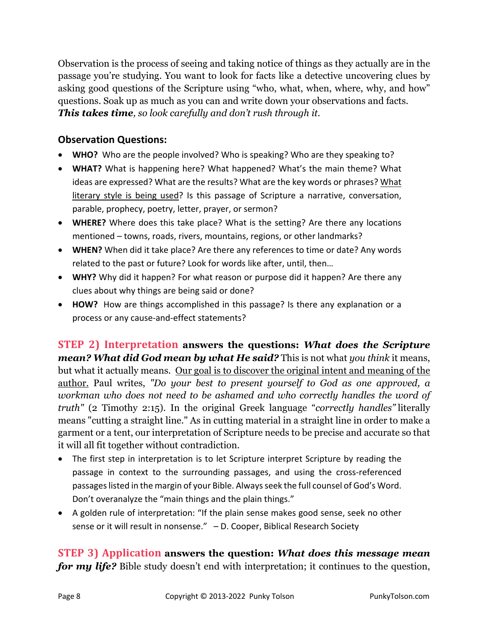Observation is the process of seeing and taking notice of things as they actually are in the passage you're studying. You want to look for facts like a detective uncovering clues by asking good questions of the Scripture using "who, what, when, where, why, and how" questions. Soak up as much as you can and write down your observations and facts. *This takes time, so look carefully and don't rush through it.* 

### **Observation Questions:**

- **WHO?** Who are the people involved? Who is speaking? Who are they speaking to?
- **WHAT?** What is happening here? What happened? What's the main theme? What ideas are expressed? What are the results? What are the key words or phrases? What literary style is being used? Is this passage of Scripture a narrative, conversation, parable, prophecy, poetry, letter, prayer, or sermon?
- **WHERE?** Where does this take place? What is the setting? Are there any locations mentioned – towns, roads, rivers, mountains, regions, or other landmarks?
- **WHEN?** When did it take place? Are there any references to time or date? Any words related to the past or future? Look for words like after, until, then…
- **WHY?** Why did it happen? For what reason or purpose did it happen? Are there any clues about why things are being said or done?
- **HOW?** How are things accomplished in this passage? Is there any explanation or a process or any cause-and-effect statements?

**STEP 2)** Interpretation answers the questions: *What does the Scripture mean? What did God mean by what He said?* This is not what *you think* it means, but what it actually means. Our goal is to discover the original intent and meaning of the author. Paul writes, *"Do your best to present yourself to God as one approved, a workman who does not need to be ashamed and who correctly handles the word of truth"* (2 Timothy 2:15). In the original Greek language "*correctly handles"* literally means "cutting a straight line." As in cutting material in a straight line in order to make a garment or a tent, our interpretation of Scripture needs to be precise and accurate so that it will all fit together without contradiction.

- The first step in interpretation is to let Scripture interpret Scripture by reading the passage in context to the surrounding passages, and using the cross-referenced passages listed in the margin of your Bible. Always seek the full counsel of God's Word. Don't overanalyze the "main things and the plain things."
- A golden rule of interpretation: "If the plain sense makes good sense, seek no other sense or it will result in nonsense." – D. Cooper, Biblical Research Society

**STEP 3) Application answers the question:** *What does this message mean for my life?* Bible study doesn't end with interpretation; it continues to the question,